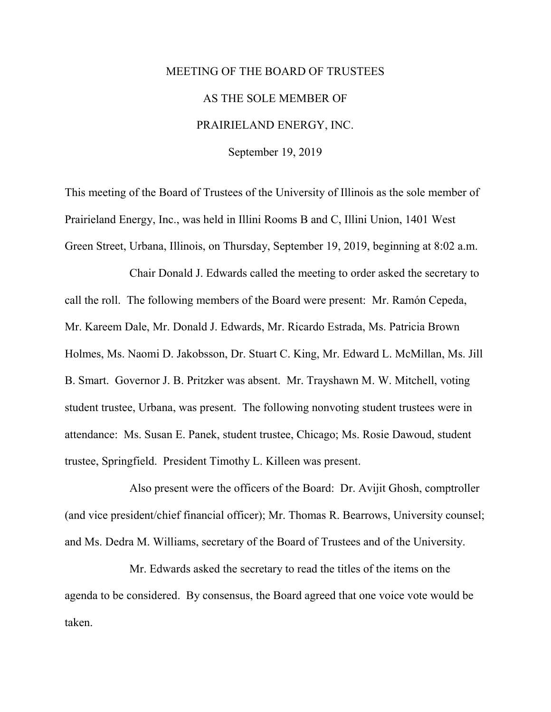## MEETING OF THE BOARD OF TRUSTEES AS THE SOLE MEMBER OF PRAIRIELAND ENERGY, INC.

September 19, 2019

This meeting of the Board of Trustees of the University of Illinois as the sole member of Prairieland Energy, Inc., was held in Illini Rooms B and C, Illini Union, 1401 West Green Street, Urbana, Illinois, on Thursday, September 19, 2019, beginning at 8:02 a.m.

Chair Donald J. Edwards called the meeting to order asked the secretary to call the roll. The following members of the Board were present: Mr. Ramón Cepeda, Mr. Kareem Dale, Mr. Donald J. Edwards, Mr. Ricardo Estrada, Ms. Patricia Brown Holmes, Ms. Naomi D. Jakobsson, Dr. Stuart C. King, Mr. Edward L. McMillan, Ms. Jill B. Smart. Governor J. B. Pritzker was absent. Mr. Trayshawn M. W. Mitchell, voting student trustee, Urbana, was present. The following nonvoting student trustees were in attendance: Ms. Susan E. Panek, student trustee, Chicago; Ms. Rosie Dawoud, student trustee, Springfield. President Timothy L. Killeen was present.

Also present were the officers of the Board: Dr. Avijit Ghosh, comptroller (and vice president/chief financial officer); Mr. Thomas R. Bearrows, University counsel; and Ms. Dedra M. Williams, secretary of the Board of Trustees and of the University.

Mr. Edwards asked the secretary to read the titles of the items on the agenda to be considered. By consensus, the Board agreed that one voice vote would be taken.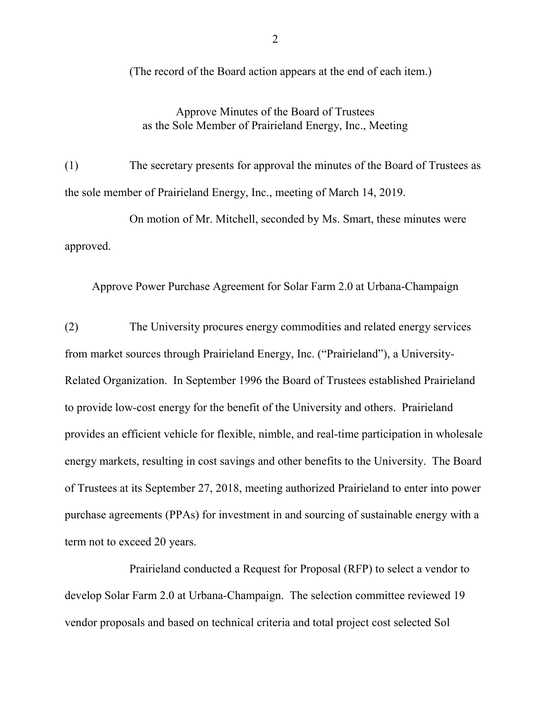(The record of the Board action appears at the end of each item.)

## Approve Minutes of the Board of Trustees as the Sole Member of Prairieland Energy, Inc., Meeting

(1) The secretary presents for approval the minutes of the Board of Trustees as the sole member of Prairieland Energy, Inc., meeting of March 14, 2019.

On motion of Mr. Mitchell, seconded by Ms. Smart, these minutes were approved.

Approve Power Purchase Agreement for Solar Farm 2.0 at Urbana-Champaign

(2) The University procures energy commodities and related energy services from market sources through Prairieland Energy, Inc. ("Prairieland"), a University-Related Organization. In September 1996 the Board of Trustees established Prairieland to provide low-cost energy for the benefit of the University and others. Prairieland provides an efficient vehicle for flexible, nimble, and real-time participation in wholesale energy markets, resulting in cost savings and other benefits to the University. The Board of Trustees at its September 27, 2018, meeting authorized Prairieland to enter into power purchase agreements (PPAs) for investment in and sourcing of sustainable energy with a term not to exceed 20 years.

Prairieland conducted a Request for Proposal (RFP) to select a vendor to develop Solar Farm 2.0 at Urbana-Champaign. The selection committee reviewed 19 vendor proposals and based on technical criteria and total project cost selected Sol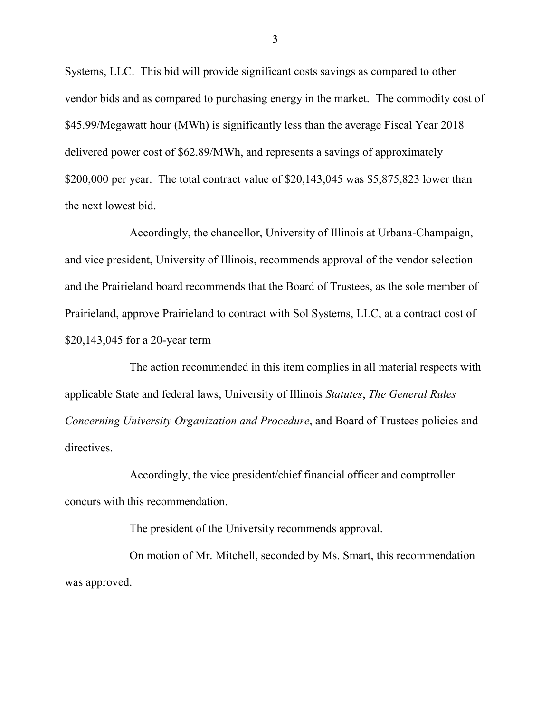Systems, LLC. This bid will provide significant costs savings as compared to other vendor bids and as compared to purchasing energy in the market. The commodity cost of \$45.99/Megawatt hour (MWh) is significantly less than the average Fiscal Year 2018 delivered power cost of \$62.89/MWh, and represents a savings of approximately \$200,000 per year. The total contract value of \$20,143,045 was \$5,875,823 lower than the next lowest bid.

Accordingly, the chancellor, University of Illinois at Urbana-Champaign, and vice president, University of Illinois, recommends approval of the vendor selection and the Prairieland board recommends that the Board of Trustees, as the sole member of Prairieland, approve Prairieland to contract with Sol Systems, LLC, at a contract cost of \$20,143,045 for a 20-year term

The action recommended in this item complies in all material respects with applicable State and federal laws, University of Illinois *Statutes*, *The General Rules Concerning University Organization and Procedure*, and Board of Trustees policies and directives.

Accordingly, the vice president/chief financial officer and comptroller concurs with this recommendation.

The president of the University recommends approval.

On motion of Mr. Mitchell, seconded by Ms. Smart, this recommendation was approved.

3